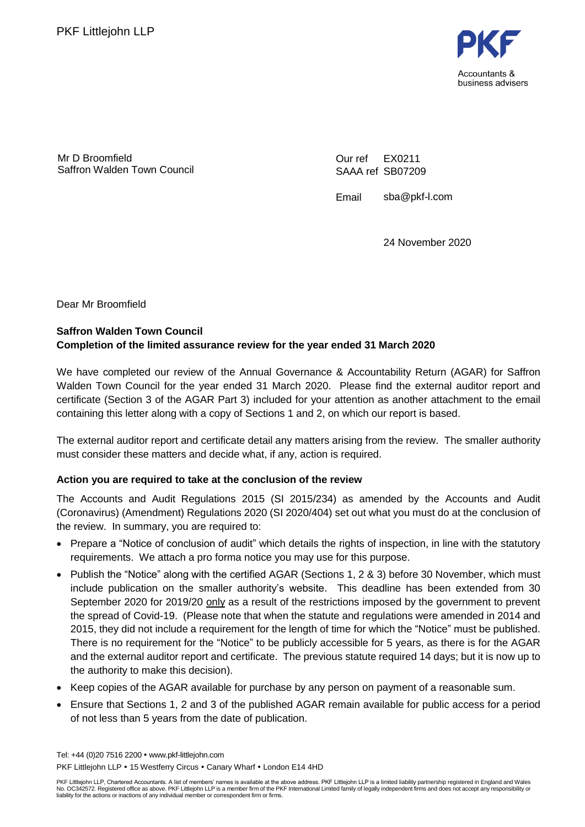

Mr D Broomfield Saffron Walden Town Council Our ref SAAA ref SB07209 EX0211

Email sba@pkf-l.com

24 November 2020

Dear Mr Broomfield

## **Saffron Walden Town Council Completion of the limited assurance review for the year ended 31 March 2020**

We have completed our review of the Annual Governance & Accountability Return (AGAR) for Saffron Walden Town Council for the year ended 31 March 2020. Please find the external auditor report and certificate (Section 3 of the AGAR Part 3) included for your attention as another attachment to the email containing this letter along with a copy of Sections 1 and 2, on which our report is based.

The external auditor report and certificate detail any matters arising from the review. The smaller authority must consider these matters and decide what, if any, action is required.

## **Action you are required to take at the conclusion of the review**

The Accounts and Audit Regulations 2015 (SI 2015/234) as amended by the Accounts and Audit (Coronavirus) (Amendment) Regulations 2020 (SI 2020/404) set out what you must do at the conclusion of the review. In summary, you are required to:

- Prepare a "Notice of conclusion of audit" which details the rights of inspection, in line with the statutory requirements. We attach a pro forma notice you may use for this purpose.
- Publish the "Notice" along with the certified AGAR (Sections 1, 2 & 3) before 30 November, which must include publication on the smaller authority's website. This deadline has been extended from 30 September 2020 for 2019/20 only as a result of the restrictions imposed by the government to prevent the spread of Covid-19. (Please note that when the statute and regulations were amended in 2014 and 2015, they did not include a requirement for the length of time for which the "Notice" must be published. There is no requirement for the "Notice" to be publicly accessible for 5 years, as there is for the AGAR and the external auditor report and certificate. The previous statute required 14 days; but it is now up to the authority to make this decision).
- Keep copies of the AGAR available for purchase by any person on payment of a reasonable sum.
- Ensure that Sections 1, 2 and 3 of the published AGAR remain available for public access for a period of not less than 5 years from the date of publication.

Tel: +44 (0)20 7516 2200 www.pkf-littlejohn.com PKF Littlejohn LLP . 15 Westferry Circus . Canary Wharf . London E14 4HD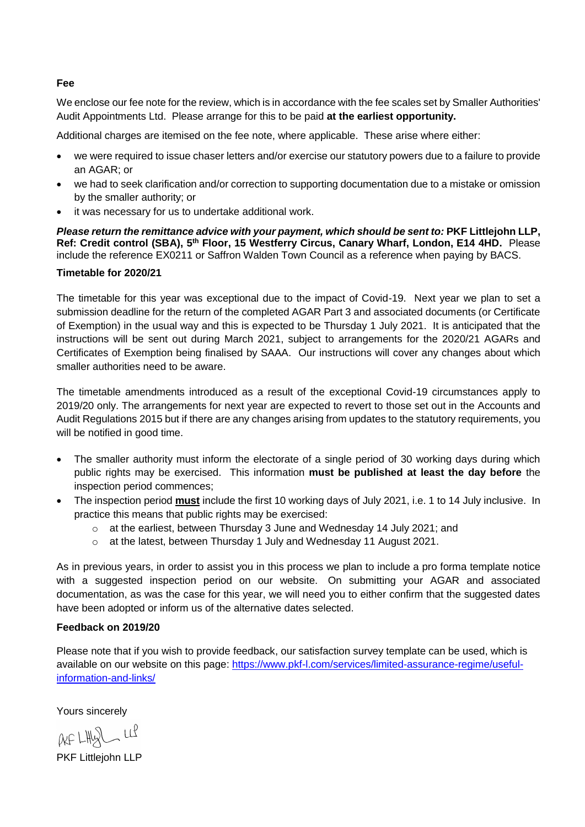#### **Fee**

We enclose our fee note for the review, which is in accordance with the fee scales set by Smaller Authorities' Audit Appointments Ltd. Please arrange for this to be paid **at the earliest opportunity.**

Additional charges are itemised on the fee note, where applicable. These arise where either:

- we were required to issue chaser letters and/or exercise our statutory powers due to a failure to provide an AGAR; or
- we had to seek clarification and/or correction to supporting documentation due to a mistake or omission by the smaller authority; or
- it was necessary for us to undertake additional work.

*Please return the remittance advice with your payment, which should be sent to:* **PKF Littlejohn LLP,**  Ref: Credit control (SBA), 5<sup>th</sup> Floor, 15 Westferry Circus, Canary Wharf, London, E14 4HD. Please include the reference EX0211 or Saffron Walden Town Council as a reference when paying by BACS.

### **Timetable for 2020/21**

The timetable for this year was exceptional due to the impact of Covid-19. Next year we plan to set a submission deadline for the return of the completed AGAR Part 3 and associated documents (or Certificate of Exemption) in the usual way and this is expected to be Thursday 1 July 2021. It is anticipated that the instructions will be sent out during March 2021, subject to arrangements for the 2020/21 AGARs and Certificates of Exemption being finalised by SAAA. Our instructions will cover any changes about which smaller authorities need to be aware.

The timetable amendments introduced as a result of the exceptional Covid-19 circumstances apply to 2019/20 only. The arrangements for next year are expected to revert to those set out in the Accounts and Audit Regulations 2015 but if there are any changes arising from updates to the statutory requirements, you will be notified in good time.

- The smaller authority must inform the electorate of a single period of 30 working days during which public rights may be exercised. This information **must be published at least the day before** the inspection period commences;
- The inspection period **must** include the first 10 working days of July 2021, i.e. 1 to 14 July inclusive. In practice this means that public rights may be exercised:
	- $\circ$  at the earliest, between Thursday 3 June and Wednesday 14 July 2021; and
	- o at the latest, between Thursday 1 July and Wednesday 11 August 2021.

As in previous years, in order to assist you in this process we plan to include a pro forma template notice with a suggested inspection period on our website. On submitting your AGAR and associated documentation, as was the case for this year, we will need you to either confirm that the suggested dates have been adopted or inform us of the alternative dates selected.

## **Feedback on 2019/20**

Please note that if you wish to provide feedback, our satisfaction survey template can be used, which is available on our website on this page: [https://www.pkf-l.com/services/limited-assurance-regime/useful](https://www.pkf-l.com/services/limited-assurance-regime/useful-information-and-links/)[information-and-links/](https://www.pkf-l.com/services/limited-assurance-regime/useful-information-and-links/)

Yours sincerely

 $QkF$   $LHlQ$   $LlP$ 

PKF Littlejohn LLP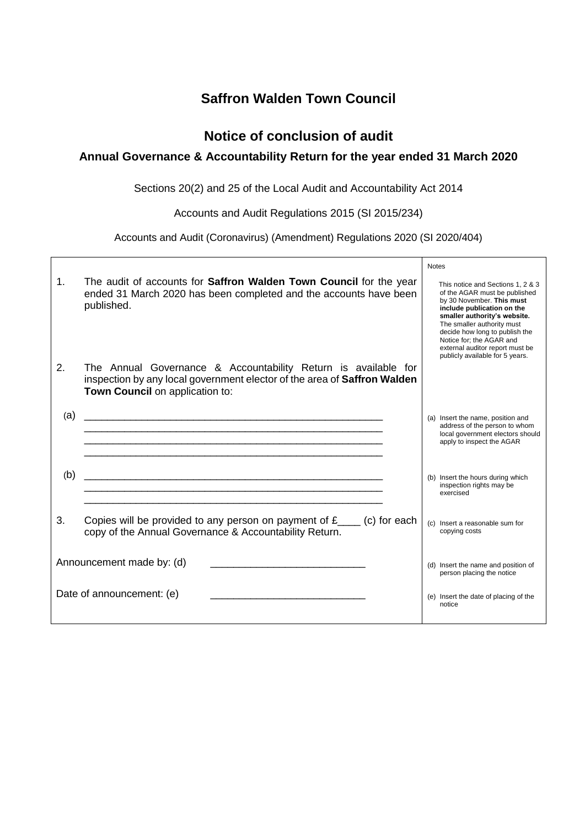## **Saffron Walden Town Council**

## **Notice of conclusion of audit**

## **Annual Governance & Accountability Return for the year ended 31 March 2020**

Sections 20(2) and 25 of the Local Audit and Accountability Act 2014

Accounts and Audit Regulations 2015 (SI 2015/234)

Accounts and Audit (Coronavirus) (Amendment) Regulations 2020 (SI 2020/404)

|                           |                                                                                                                                                                               | <b>Notes</b>                                                                                                                                                                                                                                                                                                                    |
|---------------------------|-------------------------------------------------------------------------------------------------------------------------------------------------------------------------------|---------------------------------------------------------------------------------------------------------------------------------------------------------------------------------------------------------------------------------------------------------------------------------------------------------------------------------|
| $\mathbf{1}$ .            | The audit of accounts for Saffron Walden Town Council for the year<br>ended 31 March 2020 has been completed and the accounts have been<br>published.                         | This notice and Sections 1, 2 & 3<br>of the AGAR must be published<br>by 30 November. This must<br>include publication on the<br>smaller authority's website.<br>The smaller authority must<br>decide how long to publish the<br>Notice for; the AGAR and<br>external auditor report must be<br>publicly available for 5 years. |
| 2.                        | The Annual Governance & Accountability Return is available for<br>inspection by any local government elector of the area of Saffron Walden<br>Town Council on application to: |                                                                                                                                                                                                                                                                                                                                 |
| (a)                       | <u> 1989 - Johann Stoff, amerikansk politik (d. 1989)</u>                                                                                                                     | (a) Insert the name, position and<br>address of the person to whom<br>local government electors should<br>apply to inspect the AGAR                                                                                                                                                                                             |
| (b)                       |                                                                                                                                                                               | (b) Insert the hours during which<br>inspection rights may be<br>exercised                                                                                                                                                                                                                                                      |
| 3.                        | Copies will be provided to any person on payment of $f_{\text{max}}$ (c) for each<br>copy of the Annual Governance & Accountability Return.                                   | (c) Insert a reasonable sum for<br>copying costs                                                                                                                                                                                                                                                                                |
| Announcement made by: (d) |                                                                                                                                                                               | (d) Insert the name and position of<br>person placing the notice                                                                                                                                                                                                                                                                |
| Date of announcement: (e) |                                                                                                                                                                               | (e) Insert the date of placing of the<br>notice                                                                                                                                                                                                                                                                                 |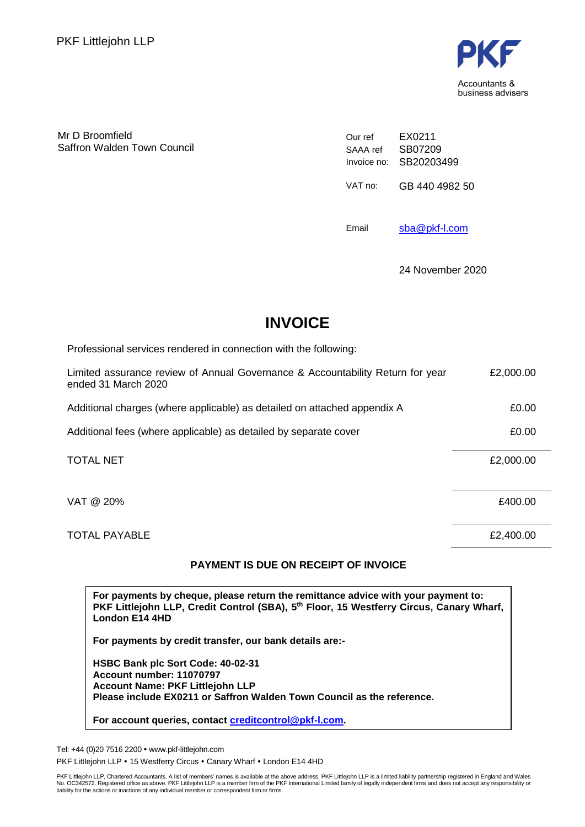

Mr D Broomfield Saffron Walden Town Council Our ref SAAA ref Invoice no: SB20203499 EX0211 SB07209 VAT no: GB 440 4982 50

Email [sba@pkf-l.com](mailto:sba@pkf-l.com)

24 November 2020

# **INVOICE**

Professional services rendered in connection with the following:

| Limited assurance review of Annual Governance & Accountability Return for year<br>ended 31 March 2020 | £2,000.00 |
|-------------------------------------------------------------------------------------------------------|-----------|
| Additional charges (where applicable) as detailed on attached appendix A                              | £0.00     |
| Additional fees (where applicable) as detailed by separate cover                                      | £0.00     |
| <b>TOTAL NET</b>                                                                                      | £2,000.00 |
| VAT @ 20%                                                                                             | £400.00   |
|                                                                                                       |           |

## TOTAL PAYABLE **EXAMPLE EXAMPLE EXAMPLE EXAMPLE EXAMPLE EXAMPLE EXAMPLE EXAMPLE**

## **PAYMENT IS DUE ON RECEIPT OF INVOICE**

**For payments by cheque, please return the remittance advice with your payment to: PKF Littlejohn LLP, Credit Control (SBA), 5 th Floor, 15 Westferry Circus, Canary Wharf, London E14 4HD**

**For payments by credit transfer, our bank details are:-**

**HSBC Bank plc Sort Code: 40-02-31 Account number: 11070797 Account Name: PKF Littlejohn LLP Please include EX0211 or Saffron Walden Town Council as the reference.**

**For account queries, contact [creditcontrol@pkf-l.com.](mailto:creditcontrol@pkf-l.com)**

Tel: +44 (0)20 7516 2200 www.pkf-littlejohn.com

PKF Littlejohn LLP . 15 Westferry Circus . Canary Wharf . London E14 4HD

PKF Littlejohn LLP, Chartered Accountants. A list of members' names is available at the above address. PKF Littlejohn LLP is a limited liability partnership registered in England and Wales<br>No. OC342572. Registered office a liability for the actions or inactions of any individual member or correspondent firm or firms.